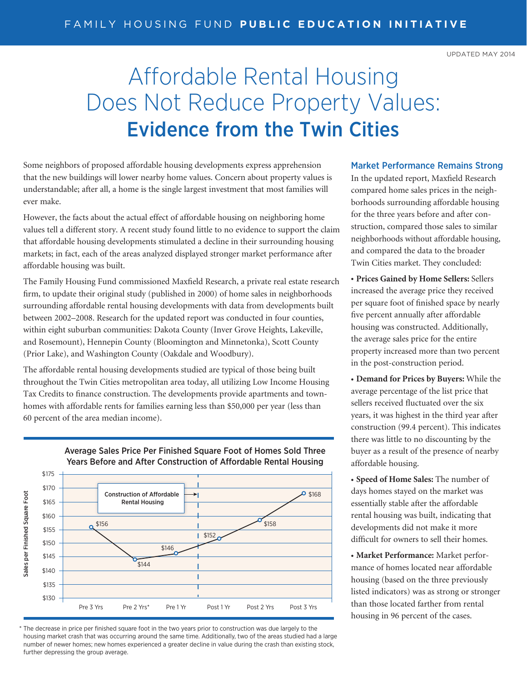UPDATED MAY 2014

## Affordable Rental Housing Does Not Reduce Property Values: Evidence from the Twin Cities

Some neighbors of proposed affordable housing developments express apprehension that the new buildings will lower nearby home values. Concern about property values is understandable; after all, a home is the single largest investment that most families will ever make.

However, the facts about the actual effect of affordable housing on neighboring home values tell a different story. A recent study found little to no evidence to support the claim that affordable housing developments stimulated a decline in their surrounding housing markets; in fact, each of the areas analyzed displayed stronger market performance after affordable housing was built.

The Family Housing Fund commissioned Maxfield Research, a private real estate research firm, to update their original study (published in 2000) of home sales in neighborhoods surrounding affordable rental housing developments with data from developments built between 2002–2008. Research for the updated report was conducted in four counties, within eight suburban communities: Dakota County (Inver Grove Heights, Lakeville, and Rosemount), Hennepin County (Bloomington and Minnetonka), Scott County (Prior Lake), and Washington County (Oakdale and Woodbury).

The affordable rental housing developments studied are typical of those being built throughout the Twin Cities metropolitan area today, all utilizing Low Income Housing Tax Credits to finance construction. The developments provide apartments and townhomes with affordable rents for families earning less than \$50,000 per year (less than 60 percent of the area median income).



Years Before and After Construction of Affordable Rental Housing

Average Sales Price Per Finished Square Foot of Homes Sold Three

## \* The decrease in price per finished square foot in the two years prior to construction was due largely to the housing market crash that was occurring around the same time. Additionally, two of the areas studied had a large number of newer homes; new homes experienced a greater decline in value during the crash than existing stock, further depressing the group average.

## Market Performance Remains Strong

In the updated report, Maxfield Research compared home sales prices in the neighborhoods surrounding affordable housing for the three years before and after construction, compared those sales to similar neighborhoods without affordable housing, and compared the data to the broader Twin Cities market. They concluded:

**• Prices Gained by Home Sellers:** Sellers increased the average price they received per square foot of finished space by nearly five percent annually after affordable housing was constructed. Additionally, the average sales price for the entire property increased more than two percent in the post-construction period.

**• Demand for Prices by Buyers:** While the average percentage of the list price that sellers received fluctuated over the six years, it was highest in the third year after construction (99.4 percent). This indicates there was little to no discounting by the buyer as a result of the presence of nearby affordable housing.

**• Speed of Home Sales:** The number of days homes stayed on the market was essentially stable after the affordable rental housing was built, indicating that developments did not make it more difficult for owners to sell their homes.

**• Market Performance:** Market performance of homes located near affordable housing (based on the three previously listed indicators) was as strong or stronger than those located farther from rental housing in 96 percent of the cases.